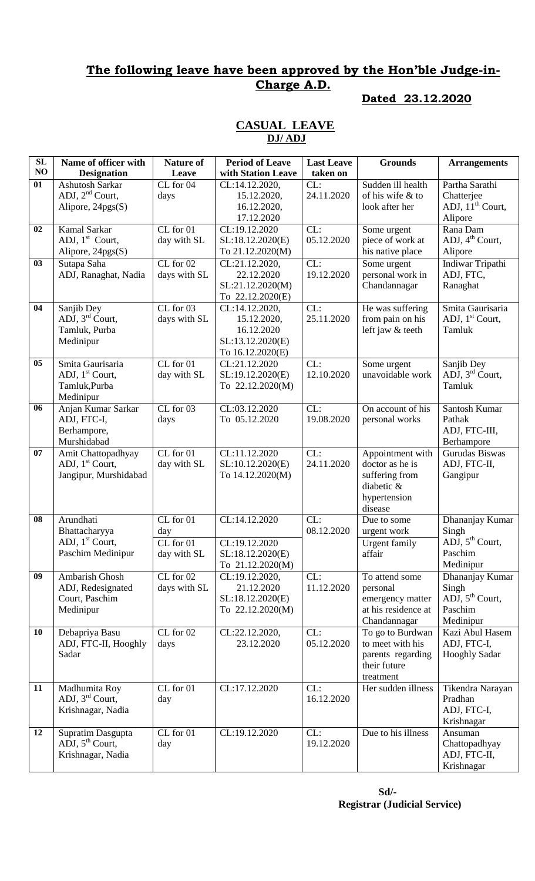# **The following leave have been approved by the Hon'ble Judge-in-Charge A.D.**

#### **Dated 23.12.2020**

#### **CASUAL LEAVE DJ/ ADJ**

| SL             | Name of officer with        | <b>Nature of</b> | <b>Period of Leave</b> | <b>Last Leave</b> | <b>Grounds</b>       | <b>Arrangements</b>         |
|----------------|-----------------------------|------------------|------------------------|-------------------|----------------------|-----------------------------|
| NO             | <b>Designation</b>          | Leave            | with Station Leave     | taken on          |                      |                             |
| 01             | Ashutosh Sarkar             | CL for 04        | CL:14.12.2020,         | CL:               | Sudden ill health    | Partha Sarathi              |
|                | ADJ, $2nd$ Court,           | days             | 15.12.2020,            | 24.11.2020        | of his wife & to     | Chatterjee                  |
|                | Alipore, $24pgs(S)$         |                  | 16.12.2020,            |                   | look after her       | ADJ, $11th$ Court,          |
|                |                             |                  | 17.12.2020             |                   |                      | Alipore                     |
| 02             | Kamal Sarkar                | CL for 01        | CL:19.12.2020          | CL:               | Some urgent          | Rana Dam                    |
|                | ADJ, $1st$ Court,           | day with SL      | SL:18.12.2020(E)       | 05.12.2020        | piece of work at     | ADJ, $4th$ Court,           |
|                | Alipore, 24pgs(S)           |                  | To 21.12.2020(M)       |                   | his native place     | Alipore                     |
| 03             | Sutapa Saha                 | $CL$ for $02$    | CL:21.12.2020,         | CL:               | Some urgent          | Indiwar Tripathi            |
|                | ADJ, Ranaghat, Nadia        | days with SL     | 22.12.2020             | 19.12.2020        | personal work in     | ADJ, FTC,                   |
|                |                             |                  | SL:21.12.2020(M)       |                   | Chandannagar         | Ranaghat                    |
|                |                             |                  | To 22.12.2020(E)       |                   |                      |                             |
| 04             | Sanjib Dey                  | $CL$ for $03$    | CL:14.12.2020,         | CL:               | He was suffering     | Smita Gaurisaria            |
|                | ADJ, $3rd$ Court,           | days with SL     | 15.12.2020,            | 25.11.2020        | from pain on his     | ADJ, $1st$ Court,           |
|                | Tamluk, Purba               |                  | 16.12.2020             |                   | left jaw & teeth     | Tamluk                      |
|                | Medinipur                   |                  | SL:13.12.2020(E)       |                   |                      |                             |
|                |                             |                  | To 16.12.2020(E)       |                   |                      |                             |
| 0 <sub>5</sub> | Smita Gaurisaria            | $CL$ for $01$    | CL:21.12.2020          | CL:               | Some urgent          | Sanjib Dey                  |
|                | ADJ, 1 <sup>st</sup> Court, | day with SL      | SL:19.12.2020(E)       | 12.10.2020        | unavoidable work     | ADJ, 3 <sup>rd</sup> Court, |
|                | Tamluk, Purba               |                  | To 22.12.2020(M)       |                   |                      | Tamluk                      |
|                | Medinipur                   |                  |                        |                   |                      |                             |
| 06             | Anjan Kumar Sarkar          | $CL$ for $03$    | CL:03.12.2020          | CL:               | On account of his    | Santosh Kumar               |
|                | ADJ, FTC-I,                 | days             | To 05.12.2020          | 19.08.2020        | personal works       | Pathak                      |
|                | Berhampore,                 |                  |                        |                   |                      | ADJ, FTC-III,               |
|                | Murshidabad                 |                  |                        |                   |                      | Berhampore                  |
| 07             | Amit Chattopadhyay          | CL for 01        | CL:11.12.2020          | CL:               | Appointment with     | Gurudas Biswas              |
|                | ADJ, 1 <sup>st</sup> Court, | day with SL      | SL:10.12.2020(E)       | 24.11.2020        | doctor as he is      | ADJ, FTC-II,                |
|                | Jangipur, Murshidabad       |                  | To 14.12.2020(M)       |                   | suffering from       | Gangipur                    |
|                |                             |                  |                        |                   | diabetic &           |                             |
|                |                             |                  |                        |                   | hypertension         |                             |
|                |                             |                  |                        |                   | disease              |                             |
| 08             | Arundhati                   | CL for 01        | CL:14.12.2020          | CL:               | Due to some          | Dhananjay Kumar             |
|                | Bhattacharyya               | day              |                        | 08.12.2020        | urgent work          | Singh                       |
|                | ADJ, $1st$ Court,           | CL for 01        | CL:19.12.2020          |                   | <b>Urgent family</b> | ADJ, 5 <sup>th</sup> Court, |
|                | Paschim Medinipur           | day with SL      | SL:18.12.2020(E)       |                   | affair               | Paschim                     |
|                |                             |                  | To 21.12.2020(M)       |                   |                      | Medinipur                   |
| 09             | Ambarish Ghosh              | $CL$ for $02$    | CL:19.12.2020,         | CL:               | To attend some       | Dhananjay Kumar             |
|                | ADJ, Redesignated           | days with SL     | 21.12.2020             | 11.12.2020        | personal             | Singh                       |
|                | Court, Paschim              |                  | SL:18.12.2020(E)       |                   | emergency matter     | ADJ, $5^{th}$ Court,        |
|                | Medinipur                   |                  | To 22.12.2020(M)       |                   | at his residence at  | Paschim                     |
|                |                             |                  |                        |                   | Chandannagar         | Medinipur                   |
| 10             | Debapriya Basu              | CL for 02        | CL:22.12.2020,         | CL:               | To go to Burdwan     | Kazi Abul Hasem             |
|                | ADJ, FTC-II, Hooghly        | days             | 23.12.2020             | 05.12.2020        | to meet with his     | ADJ, FTC-I,                 |
|                | Sadar                       |                  |                        |                   | parents regarding    | <b>Hooghly Sadar</b>        |
|                |                             |                  |                        |                   | their future         |                             |
|                |                             |                  |                        |                   | treatment            |                             |
| 11             | Madhumita Roy               | $CL$ for $01$    | CL:17.12.2020          | CL:               | Her sudden illness   | Tikendra Narayan            |
|                | ADJ, $3rd$ Court,           | day              |                        | 16.12.2020        |                      | Pradhan                     |
|                | Krishnagar, Nadia           |                  |                        |                   |                      | ADJ, FTC-I,                 |
|                |                             |                  |                        |                   |                      | Krishnagar                  |
| 12             | Supratim Dasgupta           | $CL$ for $01$    | CL:19.12.2020          | CL:               | Due to his illness   | Ansuman                     |
|                | ADJ, 5 <sup>th</sup> Court, | day              |                        | 19.12.2020        |                      | Chattopadhyay               |
|                | Krishnagar, Nadia           |                  |                        |                   |                      | ADJ, FTC-II,                |
|                |                             |                  |                        |                   |                      | Krishnagar                  |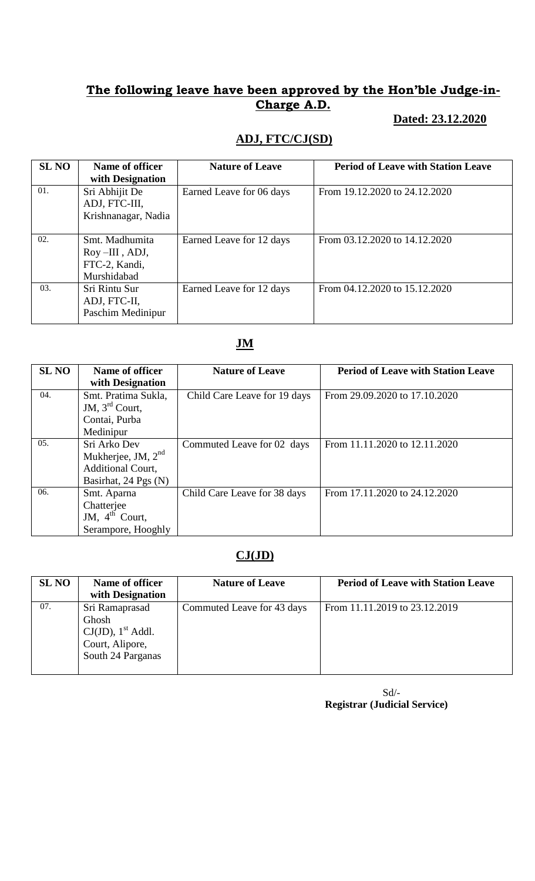# **The following leave have been approved by the Hon'ble Judge-in-Charge A.D.**

### **Dated: 23.12.2020**

### **ADJ, FTC/CJ(SD)**

| <b>SL NO</b> | Name of officer<br>with Designation                             | <b>Nature of Leave</b>   | <b>Period of Leave with Station Leave</b> |
|--------------|-----------------------------------------------------------------|--------------------------|-------------------------------------------|
| 01.          | Sri Abhijit De<br>ADJ, FTC-III,<br>Krishnanagar, Nadia          | Earned Leave for 06 days | From 19.12.2020 to 24.12.2020             |
| 02.          | Smt. Madhumita<br>Roy-III, ADJ,<br>FTC-2, Kandi,<br>Murshidabad | Earned Leave for 12 days | From 03.12.2020 to 14.12.2020             |
| 03.          | Sri Rintu Sur<br>ADJ, FTC-II,<br>Paschim Medinipur              | Earned Leave for 12 days | From 04.12.2020 to 15.12.2020             |

#### **JM**

| <b>SL NO</b> | Name of officer<br>with Designation                                               | <b>Nature of Leave</b>       | <b>Period of Leave with Station Leave</b> |
|--------------|-----------------------------------------------------------------------------------|------------------------------|-------------------------------------------|
| 04.          | Smt. Pratima Sukla,<br>JM, $3^{\text{rd}}$ Court,<br>Contai, Purba<br>Medinipur   | Child Care Leave for 19 days | From 29.09.2020 to 17.10.2020             |
| 05.          | Sri Arko Dev<br>Mukherjee, JM, $2nd$<br>Additional Court,<br>Basirhat, 24 Pgs (N) | Commuted Leave for 02 days   | From 11.11.2020 to 12.11.2020             |
| 06.          | Smt. Aparna<br>Chatterjee<br>JM, $4^{\text{th}}$ Court,<br>Serampore, Hooghly     | Child Care Leave for 38 days | From 17.11.2020 to 24.12.2020             |

# **CJ(JD)**

| <b>SL NO</b> | Name of officer                  | <b>Nature of Leave</b>     | <b>Period of Leave with Station Leave</b> |
|--------------|----------------------------------|----------------------------|-------------------------------------------|
|              | with Designation                 |                            |                                           |
| 07.          | Sri Ramaprasad                   | Commuted Leave for 43 days | From 11.11.2019 to 23.12.2019             |
|              | Ghosh                            |                            |                                           |
|              | $CJ(JD)$ , 1 <sup>st</sup> Addl. |                            |                                           |
|              | Court, Alipore,                  |                            |                                           |
|              | South 24 Parganas                |                            |                                           |
|              |                                  |                            |                                           |
|              |                                  |                            |                                           |

 Sd/-  **Registrar (Judicial Service)**